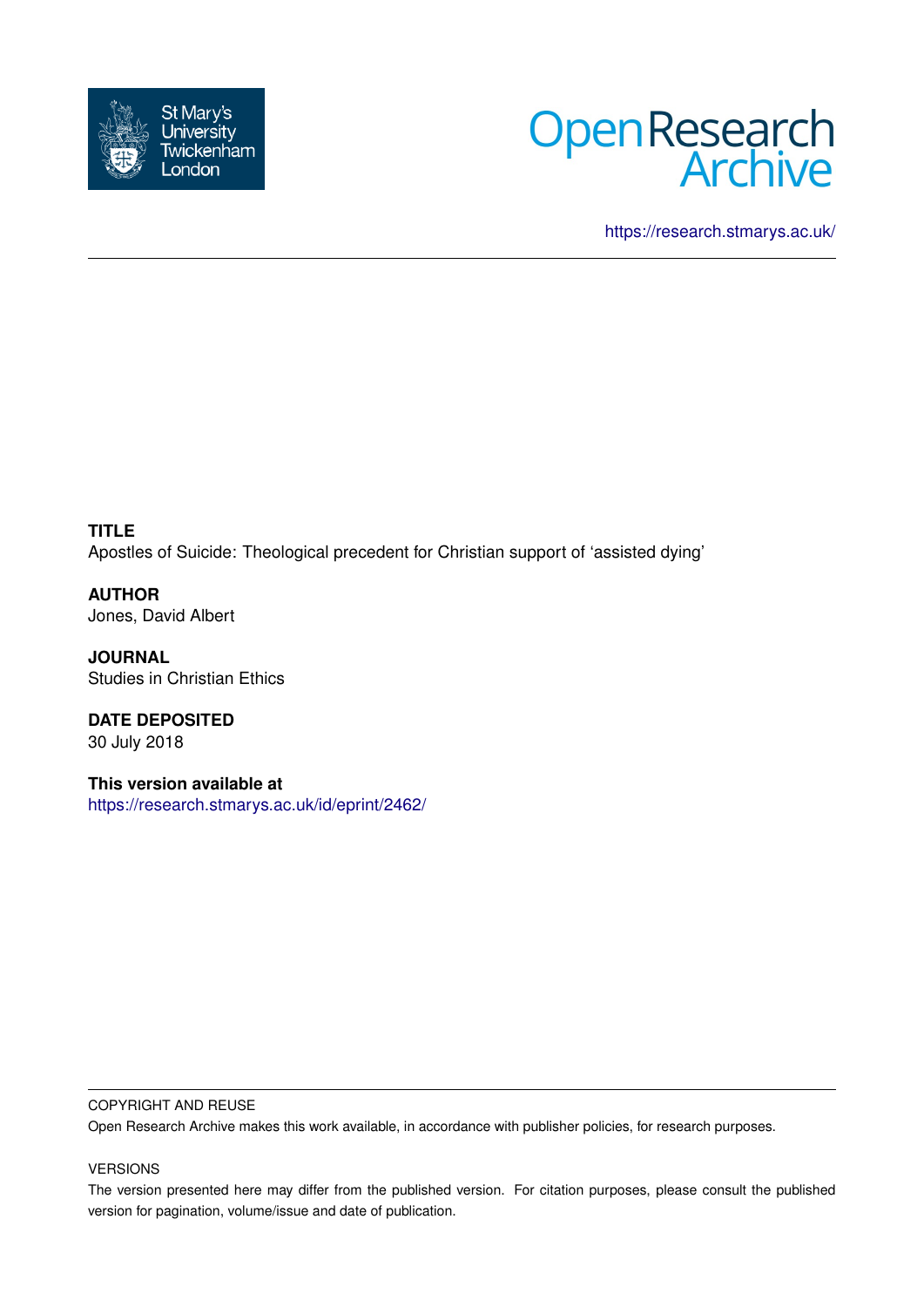



<https://research.stmarys.ac.uk/>

**TITLE** Apostles of Suicide: Theological precedent for Christian support of 'assisted dying'

**AUTHOR** Jones, David Albert

**JOURNAL** Studies in Christian Ethics

**DATE DEPOSITED** 30 July 2018

**This version available at** <https://research.stmarys.ac.uk/id/eprint/2462/>

# COPYRIGHT AND REUSE

Open Research Archive makes this work available, in accordance with publisher policies, for research purposes.

# VERSIONS

The version presented here may differ from the published version. For citation purposes, please consult the published version for pagination, volume/issue and date of publication.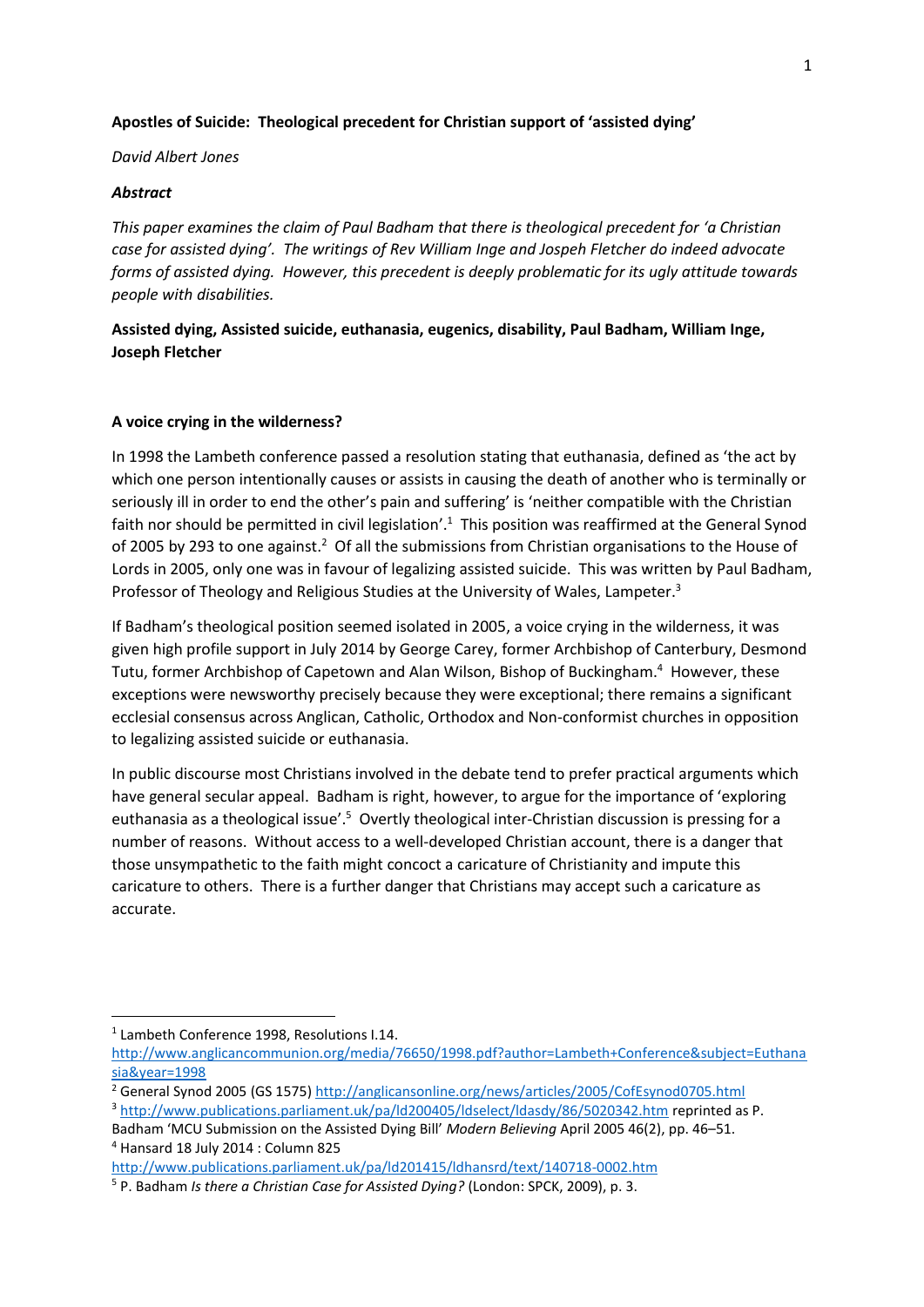# **Apostles of Suicide: Theological precedent for Christian support of 'assisted dying'**

*David Albert Jones*

## *Abstract*

*This paper examines the claim of Paul Badham that there is theological precedent for 'a Christian case for assisted dying'. The writings of Rev William Inge and Jospeh Fletcher do indeed advocate forms of assisted dying. However, this precedent is deeply problematic for its ugly attitude towards people with disabilities.* 

# **Assisted dying, Assisted suicide, euthanasia, eugenics, disability, Paul Badham, William Inge, Joseph Fletcher**

#### **A voice crying in the wilderness?**

In 1998 the Lambeth conference passed a resolution stating that euthanasia, defined as 'the act by which one person intentionally causes or assists in causing the death of another who is terminally or seriously ill in order to end the other's pain and suffering' is 'neither compatible with the Christian faith nor should be permitted in civil legislation'.<sup>1</sup> This position was reaffirmed at the General Synod of 2005 by 293 to one against.<sup>2</sup> Of all the submissions from Christian organisations to the House of Lords in 2005, only one was in favour of legalizing assisted suicide. This was written by Paul Badham, Professor of Theology and Religious Studies at the University of Wales, Lampeter.<sup>3</sup>

If Badham's theological position seemed isolated in 2005, a voice crying in the wilderness, it was given high profile support in July 2014 by George Carey, former Archbishop of Canterbury, Desmond Tutu, former Archbishop of Capetown and Alan Wilson, Bishop of Buckingham. 4 However, these exceptions were newsworthy precisely because they were exceptional; there remains a significant ecclesial consensus across Anglican, Catholic, Orthodox and Non-conformist churches in opposition to legalizing assisted suicide or euthanasia.

In public discourse most Christians involved in the debate tend to prefer practical arguments which have general secular appeal. Badham is right, however, to argue for the importance of 'exploring euthanasia as a theological issue'.<sup>5</sup> Overtly theological inter-Christian discussion is pressing for a number of reasons. Without access to a well-developed Christian account, there is a danger that those unsympathetic to the faith might concoct a caricature of Christianity and impute this caricature to others. There is a further danger that Christians may accept such a caricature as accurate.

 $\overline{a}$ 

<sup>1</sup> Lambeth Conference 1998, Resolutions I.14.

[http://www.anglicancommunion.org/media/76650/1998.pdf?author=Lambeth+Conference&subject=Euthana](http://www.anglicancommunion.org/media/76650/1998.pdf?author=Lambeth+Conference&subject=Euthanasia&year=1998) [sia&year=1998](http://www.anglicancommunion.org/media/76650/1998.pdf?author=Lambeth+Conference&subject=Euthanasia&year=1998)

<sup>2</sup> General Synod 2005 (GS 1575[\) http://anglicansonline.org/news/articles/2005/CofEsynod0705.html](http://anglicansonline.org/news/articles/2005/CofEsynod0705.html)

<sup>3</sup> <http://www.publications.parliament.uk/pa/ld200405/ldselect/ldasdy/86/5020342.htm> reprinted as P.

Badham 'MCU Submission on the Assisted Dying Bill' *Modern Believing* April 2005 46(2), pp. 46–51. <sup>4</sup> Hansard 18 July 2014 : Column 825

<http://www.publications.parliament.uk/pa/ld201415/ldhansrd/text/140718-0002.htm>

<sup>5</sup> P. Badham *Is there a Christian Case for Assisted Dying?* (London: SPCK, 2009), p. 3.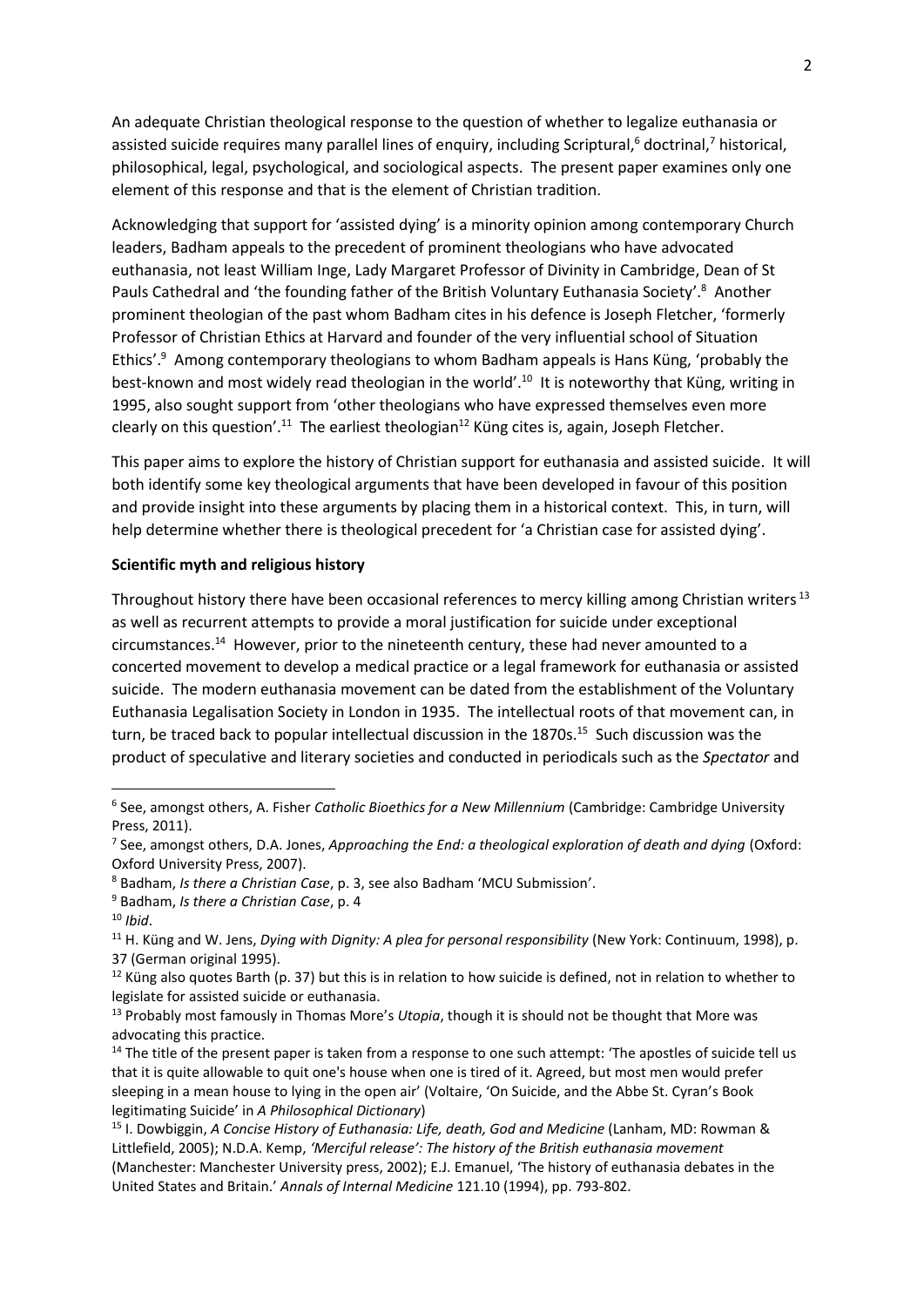An adequate Christian theological response to the question of whether to legalize euthanasia or assisted suicide requires many parallel lines of enquiry, including Scriptural,<sup>6</sup> doctrinal,<sup>7</sup> historical, philosophical, legal, psychological, and sociological aspects. The present paper examines only one element of this response and that is the element of Christian tradition.

Acknowledging that support for 'assisted dying' is a minority opinion among contemporary Church leaders, Badham appeals to the precedent of prominent theologians who have advocated euthanasia, not least William Inge, Lady Margaret Professor of Divinity in Cambridge, Dean of St Pauls Cathedral and 'the founding father of the British Voluntary Euthanasia Society'.<sup>8</sup> Another prominent theologian of the past whom Badham cites in his defence is Joseph Fletcher, 'formerly Professor of Christian Ethics at Harvard and founder of the very influential school of Situation Ethics'.<sup>9</sup> Among contemporary theologians to whom Badham appeals is Hans Küng, 'probably the best-known and most widely read theologian in the world'.<sup>10</sup> It is noteworthy that Küng, writing in 1995, also sought support from 'other theologians who have expressed themselves even more clearly on this question'.<sup>11</sup> The earliest theologian<sup>12</sup> Küng cites is, again, Joseph Fletcher.

This paper aims to explore the history of Christian support for euthanasia and assisted suicide. It will both identify some key theological arguments that have been developed in favour of this position and provide insight into these arguments by placing them in a historical context. This, in turn, will help determine whether there is theological precedent for 'a Christian case for assisted dying'.

#### **Scientific myth and religious history**

Throughout history there have been occasional references to mercy killing among Christian writers<sup>13</sup> as well as recurrent attempts to provide a moral justification for suicide under exceptional circumstances.<sup>14</sup> However, prior to the nineteenth century, these had never amounted to a concerted movement to develop a medical practice or a legal framework for euthanasia or assisted suicide. The modern euthanasia movement can be dated from the establishment of the Voluntary Euthanasia Legalisation Society in London in 1935. The intellectual roots of that movement can, in turn, be traced back to popular intellectual discussion in the 1870s.<sup>15</sup> Such discussion was the product of speculative and literary societies and conducted in periodicals such as the *Spectator* and

**.** 

<sup>6</sup> See, amongst others, A. Fisher *Catholic Bioethics for a New Millennium* (Cambridge: Cambridge University Press, 2011).

<sup>7</sup> See, amongst others, D.A. Jones, *Approaching the End: a theological exploration of death and dying* (Oxford: Oxford University Press, 2007).

<sup>8</sup> Badham, *Is there a Christian Case*, p. 3, see also Badham 'MCU Submission'.

<sup>9</sup> Badham, *Is there a Christian Case*, p. 4

<sup>10</sup> *Ibid*.

<sup>&</sup>lt;sup>11</sup> H. Küng and W. Jens, *Dying with Dignity: A plea for personal responsibility* (New York: Continuum, 1998), p. 37 (German original 1995).

 $12$  Küng also quotes Barth (p. 37) but this is in relation to how suicide is defined, not in relation to whether to legislate for assisted suicide or euthanasia.

<sup>13</sup> Probably most famously in Thomas More's *Utopia*, though it is should not be thought that More was advocating this practice.

<sup>&</sup>lt;sup>14</sup> The title of the present paper is taken from a response to one such attempt: 'The apostles of suicide tell us that it is quite allowable to quit one's house when one is tired of it. Agreed, but most men would prefer sleeping in a mean house to lying in the open air' (Voltaire, 'On Suicide, and the Abbe St. Cyran's Book legitimating Suicide' in *A Philosophical Dictionary*)

<sup>15</sup> I. Dowbiggin, *A Concise History of Euthanasia: Life, death, God and Medicine* (Lanham, MD: Rowman & Littlefield, 2005); N.D.A. Kemp, *'Merciful release': The history of the British euthanasia movement* (Manchester: Manchester University press, 2002); E.J. Emanuel, 'The history of euthanasia debates in the United States and Britain.' *Annals of Internal Medicine* 121.10 (1994), pp. 793-802.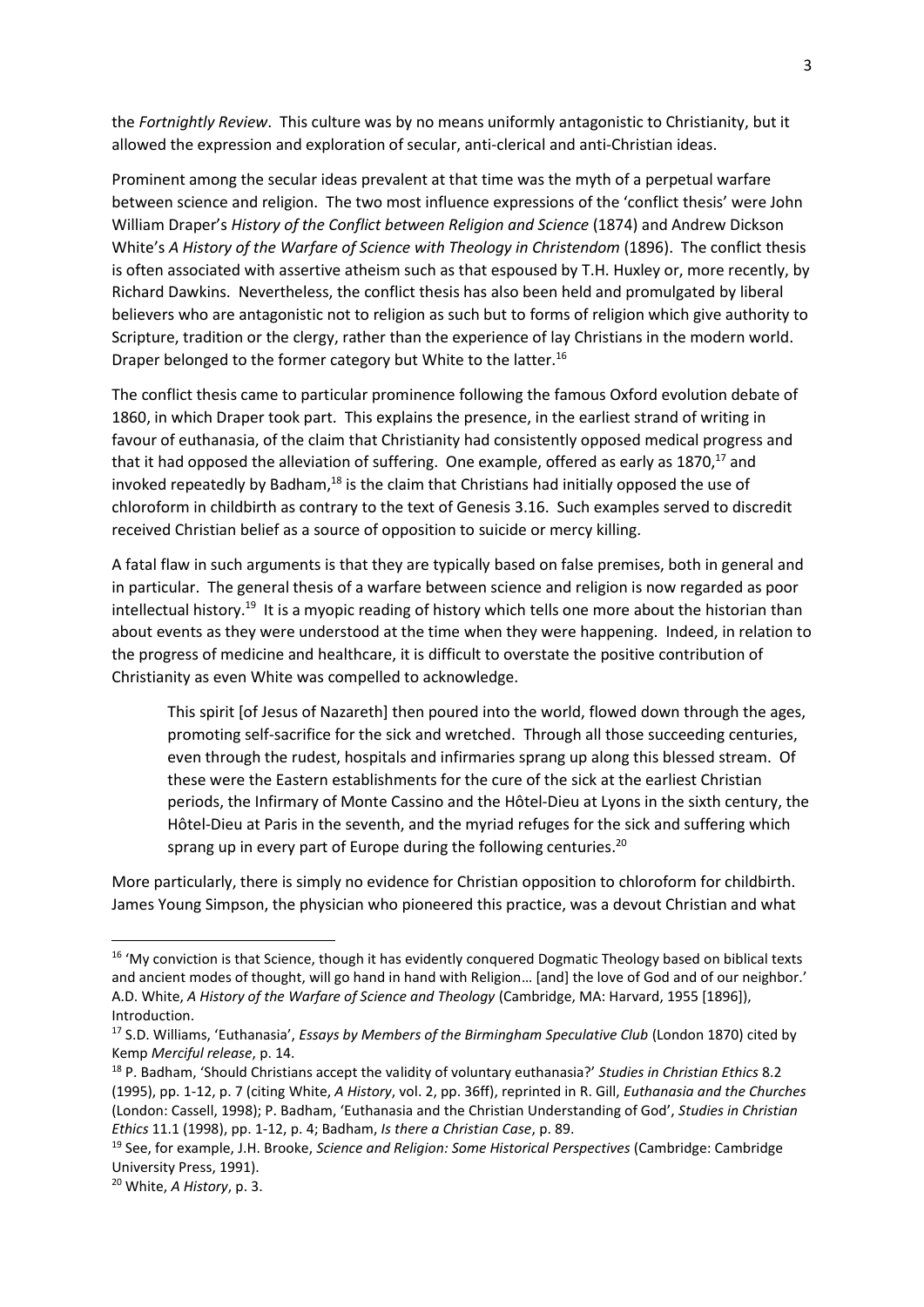the *Fortnightly Review*. This culture was by no means uniformly antagonistic to Christianity, but it allowed the expression and exploration of secular, anti-clerical and anti-Christian ideas.

Prominent among the secular ideas prevalent at that time was the myth of a perpetual warfare between science and religion. The two most influence expressions of the 'conflict thesis' were John William Draper's *History of the Conflict between Religion and Science* (1874) and Andrew Dickson White's *A History of the Warfare of Science with Theology in Christendom* (1896). The conflict thesis is often associated with assertive atheism such as that espoused by T.H. Huxley or, more recently, by Richard Dawkins. Nevertheless, the conflict thesis has also been held and promulgated by liberal believers who are antagonistic not to religion as such but to forms of religion which give authority to Scripture, tradition or the clergy, rather than the experience of lay Christians in the modern world. Draper belonged to the former category but White to the latter.<sup>16</sup>

The conflict thesis came to particular prominence following the famous Oxford evolution debate of 1860, in which Draper took part. This explains the presence, in the earliest strand of writing in favour of euthanasia, of the claim that Christianity had consistently opposed medical progress and that it had opposed the alleviation of suffering. One example, offered as early as 1870,<sup>17</sup> and invoked repeatedly by Badham, $18$  is the claim that Christians had initially opposed the use of chloroform in childbirth as contrary to the text of Genesis 3.16. Such examples served to discredit received Christian belief as a source of opposition to suicide or mercy killing.

A fatal flaw in such arguments is that they are typically based on false premises, both in general and in particular. The general thesis of a warfare between science and religion is now regarded as poor intellectual history.<sup>19</sup> It is a myopic reading of history which tells one more about the historian than about events as they were understood at the time when they were happening. Indeed, in relation to the progress of medicine and healthcare, it is difficult to overstate the positive contribution of Christianity as even White was compelled to acknowledge.

This spirit [of Jesus of Nazareth] then poured into the world, flowed down through the ages, promoting self-sacrifice for the sick and wretched. Through all those succeeding centuries, even through the rudest, hospitals and infirmaries sprang up along this blessed stream. Of these were the Eastern establishments for the cure of the sick at the earliest Christian periods, the Infirmary of Monte Cassino and the Hôtel-Dieu at Lyons in the sixth century, the Hôtel-Dieu at Paris in the seventh, and the myriad refuges for the sick and suffering which sprang up in every part of Europe during the following centuries.<sup>20</sup>

More particularly, there is simply no evidence for Christian opposition to chloroform for childbirth. James Young Simpson, the physician who pioneered this practice, was a devout Christian and what

1

<sup>&</sup>lt;sup>16</sup> 'My conviction is that Science, though it has evidently conquered Dogmatic Theology based on biblical texts and ancient modes of thought, will go hand in hand with Religion… [and] the love of God and of our neighbor.' A.D. White, *A History of the Warfare of Science and Theology* (Cambridge, MA: Harvard, 1955 [1896]), Introduction.

<sup>17</sup> S.D. Williams, 'Euthanasia', *Essays by Members of the Birmingham Speculative Club* (London 1870) cited by Kemp *Merciful release*, p. 14.

<sup>18</sup> P. Badham, 'Should Christians accept the validity of voluntary euthanasia?' *Studies in Christian Ethics* 8.2 (1995), pp. 1-12, p. 7 (citing White, *A History*, vol. 2, pp. 36ff), reprinted in R. Gill, *Euthanasia and the Churches* (London: Cassell, 1998); P. Badham, 'Euthanasia and the Christian Understanding of God', *Studies in Christian Ethics* 11.1 (1998), pp. 1-12, p. 4; Badham, *Is there a Christian Case*, p. 89.

<sup>19</sup> See, for example, J.H. Brooke, *Science and Religion: Some Historical Perspectives* (Cambridge: Cambridge University Press, 1991).

<sup>20</sup> White, *A History*, p. 3.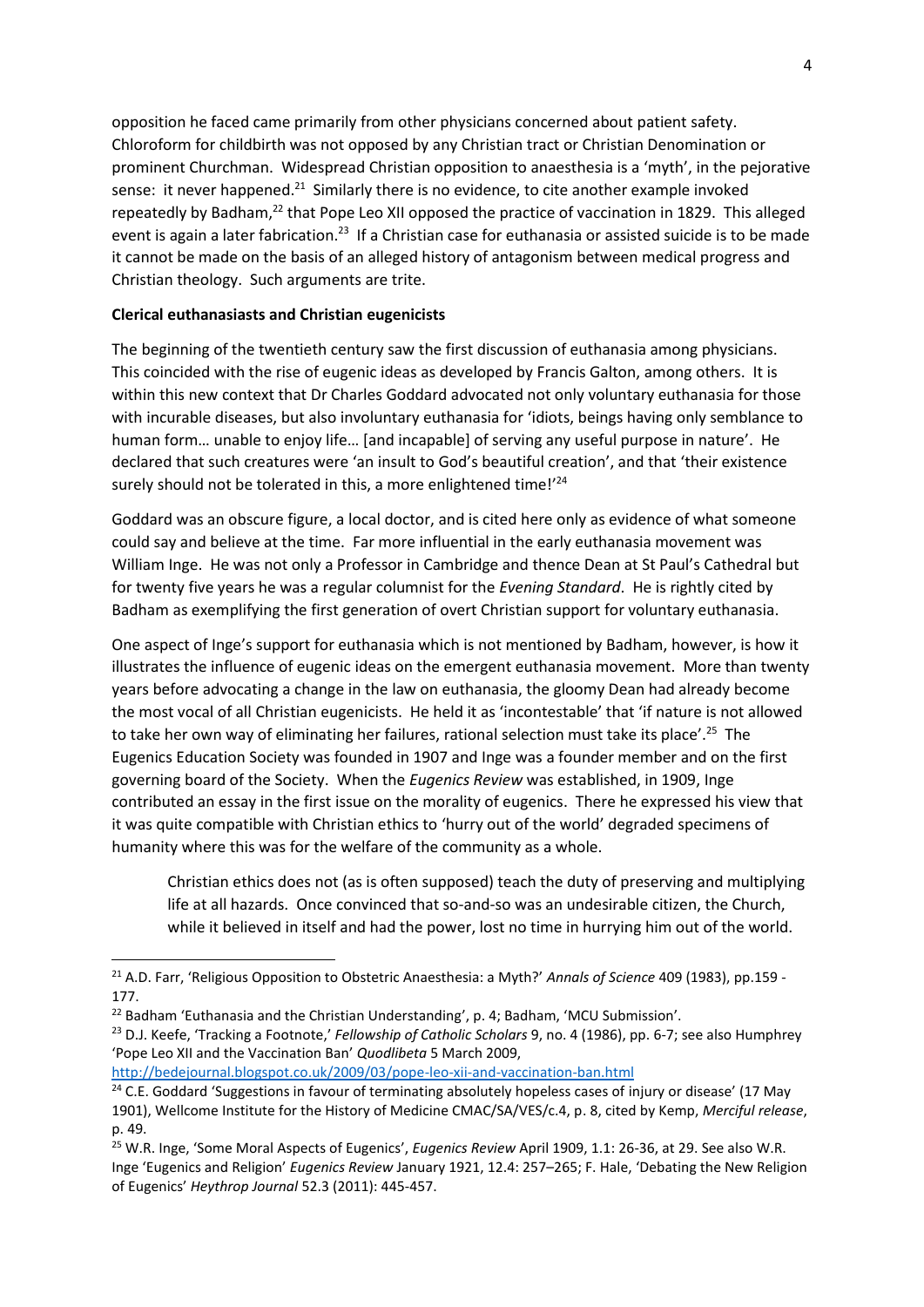opposition he faced came primarily from other physicians concerned about patient safety. Chloroform for childbirth was not opposed by any Christian tract or Christian Denomination or prominent Churchman. Widespread Christian opposition to anaesthesia is a 'myth', in the pejorative sense: it never happened.<sup>21</sup> Similarly there is no evidence, to cite another example invoked repeatedly by Badham,<sup>22</sup> that Pope Leo XII opposed the practice of vaccination in 1829. This alleged event is again a later fabrication.<sup>23</sup> If a Christian case for euthanasia or assisted suicide is to be made it cannot be made on the basis of an alleged history of antagonism between medical progress and Christian theology. Such arguments are trite.

## **Clerical euthanasiasts and Christian eugenicists**

**.** 

The beginning of the twentieth century saw the first discussion of euthanasia among physicians. This coincided with the rise of eugenic ideas as developed by Francis Galton, among others. It is within this new context that Dr Charles Goddard advocated not only voluntary euthanasia for those with incurable diseases, but also involuntary euthanasia for 'idiots, beings having only semblance to human form... unable to enjoy life... [and incapable] of serving any useful purpose in nature'. He declared that such creatures were 'an insult to God's beautiful creation', and that 'their existence surely should not be tolerated in this, a more enlightened time!<sup>'24</sup>

Goddard was an obscure figure, a local doctor, and is cited here only as evidence of what someone could say and believe at the time. Far more influential in the early euthanasia movement was William Inge. He was not only a Professor in Cambridge and thence Dean at St Paul's Cathedral but for twenty five years he was a regular columnist for the *Evening Standard*. He is rightly cited by Badham as exemplifying the first generation of overt Christian support for voluntary euthanasia.

One aspect of Inge's support for euthanasia which is not mentioned by Badham, however, is how it illustrates the influence of eugenic ideas on the emergent euthanasia movement. More than twenty years before advocating a change in the law on euthanasia, the gloomy Dean had already become the most vocal of all Christian eugenicists. He held it as 'incontestable' that 'if nature is not allowed to take her own way of eliminating her failures, rational selection must take its place'.<sup>25</sup> The Eugenics Education Society was founded in 1907 and Inge was a founder member and on the first governing board of the Society. When the *Eugenics Review* was established, in 1909, Inge contributed an essay in the first issue on the morality of eugenics. There he expressed his view that it was quite compatible with Christian ethics to 'hurry out of the world' degraded specimens of humanity where this was for the welfare of the community as a whole.

Christian ethics does not (as is often supposed) teach the duty of preserving and multiplying life at all hazards. Once convinced that so-and-so was an undesirable citizen, the Church, while it believed in itself and had the power, lost no time in hurrying him out of the world.

<sup>23</sup> D.J. Keefe, 'Tracking a Footnote,' *Fellowship of Catholic Scholars* 9, no. 4 (1986), pp. 6-7; see also Humphrey 'Pope Leo XII and the Vaccination Ban' *Quodlibeta* 5 March 2009,

<http://bedejournal.blogspot.co.uk/2009/03/pope-leo-xii-and-vaccination-ban.html>

<sup>24</sup> C.E. Goddard 'Suggestions in favour of terminating absolutely hopeless cases of injury or disease' (17 May 1901), Wellcome Institute for the History of Medicine CMAC/SA/VES/c.4, p. 8, cited by Kemp, *Merciful release*, p. 49.

<sup>21</sup> A.D. Farr, 'Religious Opposition to Obstetric Anaesthesia: a Myth?' *Annals of Science* 409 (1983), pp.159 - 177.

 $22$  Badham 'Euthanasia and the Christian Understanding', p. 4; Badham, 'MCU Submission'.

<sup>25</sup> W.R. Inge, 'Some Moral Aspects of Eugenics', *Eugenics Review* April 1909, 1.1: 26-36, at 29. See also W.R. Inge 'Eugenics and Religion' *Eugenics Review* January 1921, 12.4: 257–265; F. Hale, 'Debating the New Religion of Eugenics' *Heythrop Journal* 52.3 (2011): 445-457.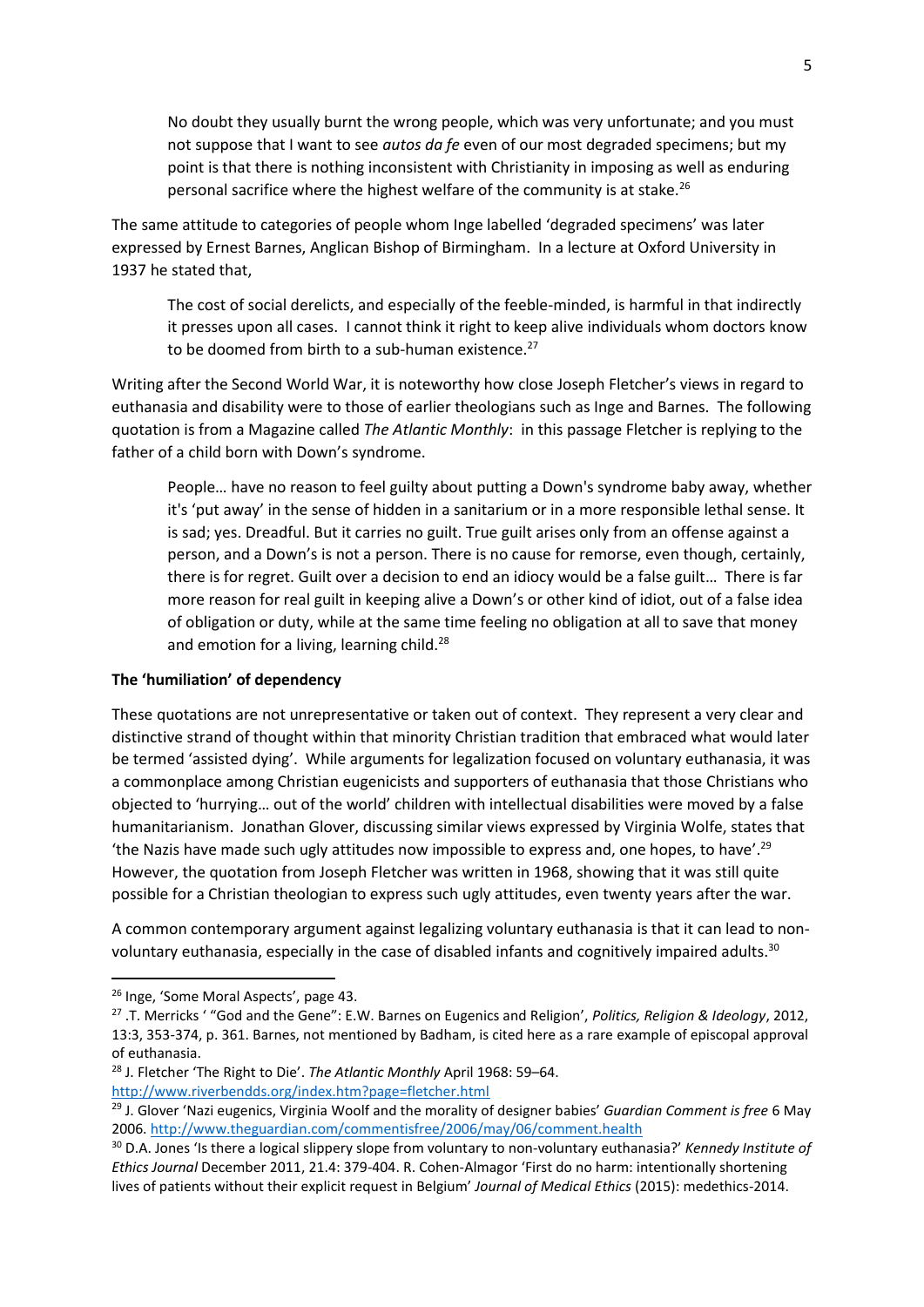No doubt they usually burnt the wrong people, which was very unfortunate; and you must not suppose that I want to see *autos da fe* even of our most degraded specimens; but my point is that there is nothing inconsistent with Christianity in imposing as well as enduring personal sacrifice where the highest welfare of the community is at stake.<sup>26</sup>

The same attitude to categories of people whom Inge labelled 'degraded specimens' was later expressed by Ernest Barnes, Anglican Bishop of Birmingham. In a lecture at Oxford University in 1937 he stated that,

The cost of social derelicts, and especially of the feeble-minded, is harmful in that indirectly it presses upon all cases. I cannot think it right to keep alive individuals whom doctors know to be doomed from birth to a sub-human existence.<sup>27</sup>

Writing after the Second World War, it is noteworthy how close Joseph Fletcher's views in regard to euthanasia and disability were to those of earlier theologians such as Inge and Barnes. The following quotation is from a Magazine called *The Atlantic Monthly*: in this passage Fletcher is replying to the father of a child born with Down's syndrome.

People… have no reason to feel guilty about putting a Down's syndrome baby away, whether it's 'put away' in the sense of hidden in a sanitarium or in a more responsible lethal sense. It is sad; yes. Dreadful. But it carries no guilt. True guilt arises only from an offense against a person, and a Down's is not a person. There is no cause for remorse, even though, certainly, there is for regret. Guilt over a decision to end an idiocy would be a false guilt… There is far more reason for real guilt in keeping alive a Down's or other kind of idiot, out of a false idea of obligation or duty, while at the same time feeling no obligation at all to save that money and emotion for a living, learning child.<sup>28</sup>

## **The 'humiliation' of dependency**

These quotations are not unrepresentative or taken out of context. They represent a very clear and distinctive strand of thought within that minority Christian tradition that embraced what would later be termed 'assisted dying'. While arguments for legalization focused on voluntary euthanasia, it was a commonplace among Christian eugenicists and supporters of euthanasia that those Christians who objected to 'hurrying… out of the world' children with intellectual disabilities were moved by a false humanitarianism. Jonathan Glover, discussing similar views expressed by Virginia Wolfe, states that 'the Nazis have made such ugly attitudes now impossible to express and, one hopes, to have'. 29 However, the quotation from Joseph Fletcher was written in 1968, showing that it was still quite possible for a Christian theologian to express such ugly attitudes, even twenty years after the war.

A common contemporary argument against legalizing voluntary euthanasia is that it can lead to nonvoluntary euthanasia, especially in the case of disabled infants and cognitively impaired adults.<sup>30</sup>

 $\overline{a}$ 

<sup>28</sup> J. Fletcher 'The Right to Die'. *The Atlantic Monthly* April 1968: 59–64.

<sup>&</sup>lt;sup>26</sup> Inge, 'Some Moral Aspects', page 43.

<sup>27</sup> .T. Merricks ' "God and the Gene": E.W. Barnes on Eugenics and Religion', *Politics, Religion & Ideology*, 2012, 13:3, 353-374, p. 361. Barnes, not mentioned by Badham, is cited here as a rare example of episcopal approval of euthanasia.

<http://www.riverbendds.org/index.htm?page=fletcher.html>

<sup>29</sup> J. Glover 'Nazi eugenics, Virginia Woolf and the morality of designer babies' *Guardian Comment is free* 6 May 2006.<http://www.theguardian.com/commentisfree/2006/may/06/comment.health>

<sup>30</sup> D.A. Jones 'Is there a logical slippery slope from voluntary to non-voluntary euthanasia?' *Kennedy Institute of Ethics Journal* December 2011, 21.4: 379-404. R. Cohen-Almagor 'First do no harm: intentionally shortening lives of patients without their explicit request in Belgium' *Journal of Medical Ethics* (2015): medethics-2014.